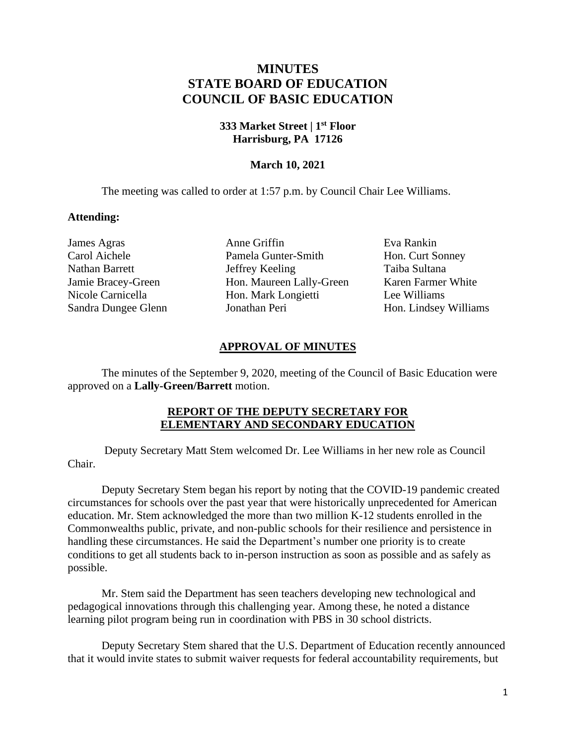# **MINUTES STATE BOARD OF EDUCATION COUNCIL OF BASIC EDUCATION**

# **333 Market Street | 1st Floor Harrisburg, PA 17126**

# **March 10, 2021**

The meeting was called to order at 1:57 p.m. by Council Chair Lee Williams.

## **Attending:**

James Agras **Anne Griffin** Eva Rankin Carol Aichele Pamela Gunter-Smith Hon. Curt Sonney Nathan Barrett Jeffrey Keeling Taiba Sultana Jamie Bracey-Green Hon. Maureen Lally-Green Karen Farmer White Nicole Carnicella Hon. Mark Longietti Lee Williams Sandra Dungee Glenn Jonathan Peri Hon. Lindsey Williams

## **APPROVAL OF MINUTES**

The minutes of the September 9, 2020, meeting of the Council of Basic Education were approved on a **Lally-Green/Barrett** motion.

## **REPORT OF THE DEPUTY SECRETARY FOR ELEMENTARY AND SECONDARY EDUCATION**

Deputy Secretary Matt Stem welcomed Dr. Lee Williams in her new role as Council Chair.

Deputy Secretary Stem began his report by noting that the COVID-19 pandemic created circumstances for schools over the past year that were historically unprecedented for American education. Mr. Stem acknowledged the more than two million K-12 students enrolled in the Commonwealths public, private, and non-public schools for their resilience and persistence in handling these circumstances. He said the Department's number one priority is to create conditions to get all students back to in-person instruction as soon as possible and as safely as possible.

Mr. Stem said the Department has seen teachers developing new technological and pedagogical innovations through this challenging year. Among these, he noted a distance learning pilot program being run in coordination with PBS in 30 school districts.

Deputy Secretary Stem shared that the U.S. Department of Education recently announced that it would invite states to submit waiver requests for federal accountability requirements, but